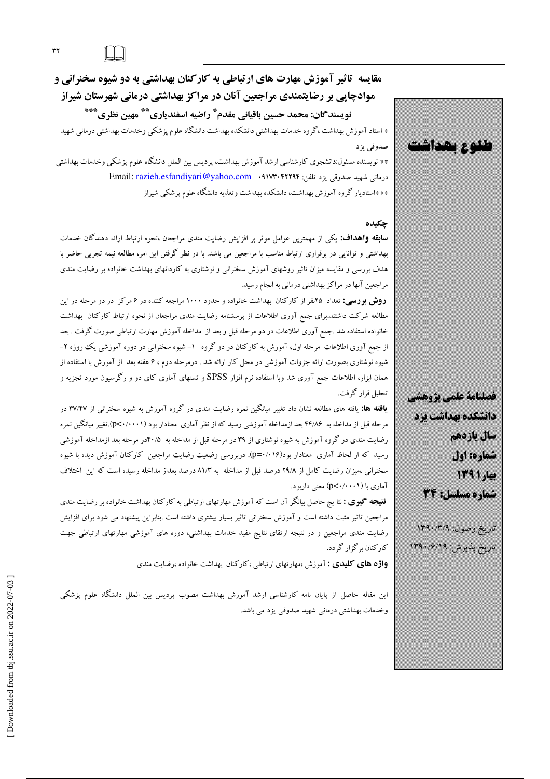مقایسه تاثیر آموزش مهارت های ارتباطی به کارکنان بهداشتی به دو شیوه سخنرانی و موادچایی بر رضایتمندی مراجعین آنان در مراکز بهداشتی درمانی شهرستان شیراز نويسندگان: محمد حسين باقياني مقدم ٌّ راضيه اسفندياري ٌ ٌ ٌ مهين نظري ٌ \*\*\*

\* استاد آموزش بهداشت ،گروه خدمات بهداشتی دانشکده بهداشت دانشگاه علوم پزشکی وخدمات بهداشتی درمانی شهید صدوقي يزد

\*\* نویسنده مسئول:دانشجوی کارشناسی ارشد آموزش بهداشت، پردیس بین الملل دانشگاه علوم پزشکی وخدمات بهداشتی درمانی شهید صدوقی یزد تلفن: ۱۷۳۰۴۲۲۹۴ . Email: razieh.esfandiyari@yahoo.com \*\*\*استادیار گروه آموزش بهداشت، دانشکده بهداشت وتغذیه دانشگاه علوم پزشکی شیراز

## چکیده

**سابقه واهداف:** یکی از مهمترین عوامل موثر بر افزایش رضایت مندی مراجعان ،نحوه ارتباط ارائه دهندگان خدمات بهداشتی و توانایی در برقراری ارتباط مناسب با مراجعین می باشد. با در نظر گرفتن این امر، مطالعه نیمه تجربی حاضر با هدف بررسی و مقایسه میزان تاثیر روشهای آموزش سخنرانی و نوشتاری به کاردانهای بهداشت خانواده بر رضایت مندی مراجعین آنها در مراکز بهداشتی درمانی به انجام رسید.

**روش بورسی:** تعداد ۲۵نفر از کارکنان بهداشت خانواده و حدود ۱۰۰۰ مراجعه کننده در ۶ مرکز در دو مرحله در این مطالعه شرکت داشتند.برای جمع آوری اطلاعات از پرسشنامه رضایت مندی مراجعان از نحوه ارتباط کارکنان بهداشت خانواده استفاده شد .جمع آوری اطلاعات در دو مرحله قبل و بعد از مداخله آموزش مهارت ارتباطی صورت گرفت . بعد از جمع آوری اطلاعات مرحله اول، آموزش به کارکنان در دو گروه ۱–شیوه سخنرانی در دوره آموزشی یک روزه ۲– شیوه نوشتاری بصورت ارائه جزوات آموزشی در محل کار ارائه شد . درمرحله دوم ، ۶ هفته بعد از آموزش با استفاده از همان ابزار، اطلاعات جمع آوری شد وبا استفاده نرم افزار SPSS و تستهای آماری کای دو و رگرسیون مورد تجزیه و تحليل قرار گرفت.

**یافته ها:** یافته های مطالعه نشان داد تغییر میانگین نمره رضایت مندی در گروه آموزش به شیوه سخنرانی از ۳۷/۴۷ در مرحله قبل از مداخله به ۴۴/۸۶ بعد ازمداخله آموزشی رسید که از نظر آماری معنادار بود (p<۰/۰۰۰۱).تغییر میانگین نمره رضایت مندی در گروه آموزش به شیوه نوشتاری از ۳۹ در مرحله قبل از مداخله به ۴۰/۵در مرحله بعد ازمداخله آموزشی رسید که از لحاظ آماری معنادار بود(۰۰۱۶). دربررسی وضعیت رضایت مراجعین کارکنان آموزش دیده با شیوه سخنرانی ،میزان رضایت کامل از ۲۹/۸ درصد قبل از مداخله به ۸۱/۳ درصد بعداز مداخله رسیده است که این اختلاف آماري با (p<۰/۰۰۰۱) معنى داربود.

**نتیجه گیری :** نتا یج حاصل بیانگر آن است که آموزش مهارتهای ارتباطی به کارکنان بهداشت خانواده بر رضایت مندی مراجعین تاثیر مثبت داشته است و آموزش سخنرانی تاثیر بسیار بیشتری داشته است .بنابراین پیشنهاد می شود برای افزایش رضایت مندی مراجعین و در نتیجه ارتقای نتایج مفید خدمات بهداشتی، دوره های آموزشی مهارتهای ارتباطی جهت کارکنان برگزار گردد.

**واژه های کلیدی :** آموزش ،مهارتهای ارتباطی ،کارکنان بهداشت خانواده ،رضایت مندی

این مقاله حاصل از پایان نامه کارشناسی ارشد آموزش بهداشت مصوب پردیس بین الملل دانشگاه علوم پزشکی وخدمات بهداشتی درمانی شهید صدوقی یزد می باشد.



 $\tau\tau$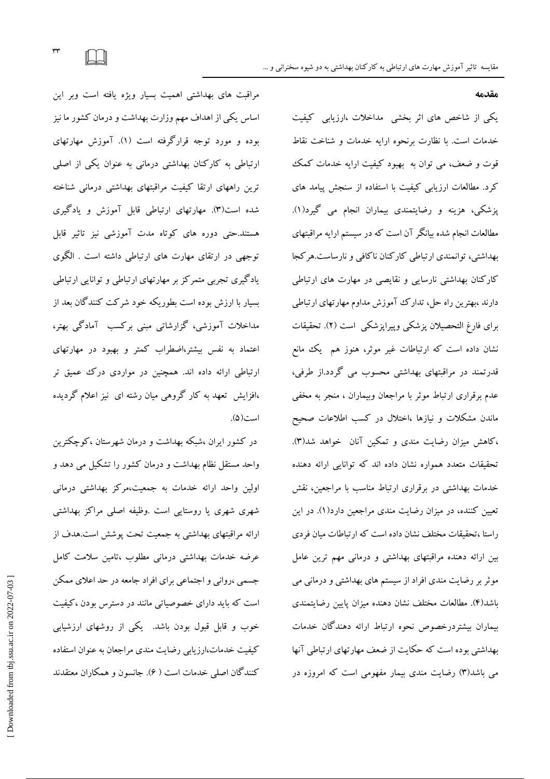#### مقدمه

یکی از شاخص های اثر بخشی مداخلات ،ارزیابی کیفیت خدمات است. با نظارت برنحوه ارايه خدمات و شناخت نقاط قوت و ضعف، می توان به بهبود کیفیت ارایه خدمات کمک کرد. مطالعات ارزیابی کیفیت با استفاده از سنجش پیامد های پزشکی، هزینه و رضایتمندی بیماران انجام می گیرد(۱). مطالعات انجام شده بیانگر آن است که در سیستم ارایه مراقبتهای بهداشتی، توانمندی ارتباطی کارکنان ناکافی و نارساست.هرکجا کارکنان بهداشتی نارسایی و نقایصی در مهارت های ارتباطی دارند ،بهترین راه حل، تدارک آموزش مداوم مهارتهای ارتباطی براي فارغ التحصيلان پزشكي وپيراپزشكي است (٢). تحقيقات نشان داده است که ارتباطات غیر موثر، هنوز هم یک مانع قدرتمند در مراقبتهای بهداشتی محسوب می گردد.از طرفی، عدم برقراری ارتباط موثر با مراجعان وبیماران ، منجر به مخفی ماندن مشکلات و نیازها ،اختلال در کسب اطلاعات صحیح ،کاهش میزان رضایت مندی و تمکین آنان خواهد شد(۳). تحقیقات متعدد همواره نشان داده اند که توانایی ارائه دهنده خدمات بهداشتی در برقراری ارتباط مناسب با مراجعین، نقش تعیین کننده، در میزان رضایت مندی مراجعین دارد(۱). در این راستا ،تحقیقات مختلف نشان داده است که ارتباطات میان فردی بین ارائه دهنده مراقبتهای بهداشتی و درمانی مهم ترین عامل موثر بر رضایت مندی افراد از سیستم های بهداشتی و درمانی می باشد(۴). مطالعات مختلف نشان دهنده میزان پایین رضایتمندی بيماران بيشتردرخصوص نحوه ارتباط ارائه دهندگان خدمات بهداشتی بوده است که حکایت از ضعف مهارتهای ارتباطی آنها می باشد(۳) رضایت مندی بیمار مفهومی است که امروزه در

مراقبت های بهداشتی اهمیت بسیار ویژه یافته است وبر این اساس یکی از اهداف مهم وزارت بهداشت و درمان کشور ما نیز بوده و مورد توجه قرارگرفته است (۱). آموزش مهارتهای ارتباطی به کارکنان بهداشتی درمانی به عنوان یکی از اصلی ترین راههای ارتقا کیفیت مراقبتهای بهداشتی درمانی شناخته شده است(۳). مهارتهای ارتباطی قابل آموزش و یادگیری هستند.حتی دوره های کوتاه مدت آموزشی نیز تاثیر قابل توجهی در ارتقای مهارت های ارتباطی داشته است . الگوی یادگیری تجربی متمرکز بر مهارتهای ارتباطی و توانایی ارتباطی بسیار با ارزش بوده است بطوریکه خود شرکت کنندگان بعد از مداخلات آموزشی، گزارشاتی مبنی برکسب آمادگی بهتر، اعتماد به نفس بیشتر،اضطراب کمتر و بهبود در مهارتهای ارتباطی ارائه داده اند. همچنین در مواردی درک عمیق تر ،افزایش تعهد به کار گروهی میان رشته ای نیز اعلام گردیده است(۵).

در کشور ایران ،شبکه بهداشت و درمان شهرستان ،کوچکترین واحد مستقل نظام بهداشت و درمان کشور را تشکیل می دهد و اولین واحد ارائه خدمات به جمعیت،مرکز بهداشتی درمانی شهری شهری یا روستایی است .وظیفه اصلی مراکز بهداشتی ارائه مراقبتهای بهداشتی به جمعیت تحت پوشش است.هدف از عرضه خدمات بهداشتی درمانی مطلوب ،تامین سلامت کامل جسمی ،روانی و اجتماعی برای افراد جامعه در حد اعلای ممکن است که باید دارای خصوصیاتی مانند در دسترس بودن ،کیفیت خوب و قابل قبول بودن باشد. یکی از روشهای ارزشیابی کیفیت خدمات،ارزیابی رضایت مندی مراجعان به عنوان استفاده کنندگان اصلی خدمات است ( ۶). جانسون و همکاران معتقدند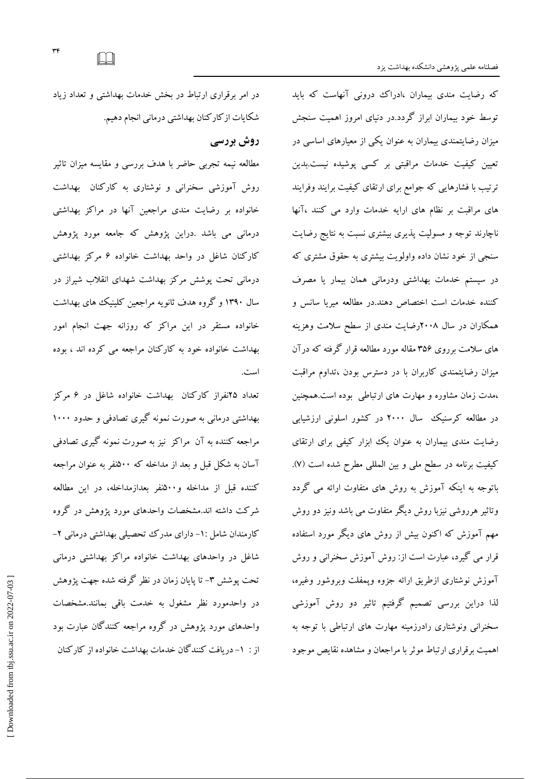که رضایت مندی بیماران ،ادراک درونی آنهاست که باید توسط خود بیماران ابراز گردد.در دنبای امروز اهمیت سنجش میزان رضایتمندی بیماران به عنوان یکی از معیارهای اساسی در تعیین کیفیت خدمات مراقبتی بر کسی پوشیده نیست.بدین ترتیب با فشارهایی که جوامع برای ارتقای کیفیت برایند وفرایند های مراقبت بر نظام های ارایه خدمات وارد می کنند ،آنها ناچارند توجه و مسولیت پذیری بیشتری نسبت به نتایج رضایت سنجی از خود نشان داده واولویت بیشتری به حقوق مشتری که در سیستم خدمات بهداشتی ودرمانی همان بیمار یا مصرف کننده خدمات است اختصاص دهند.در مطالعه میریا سانس و همکاران در سال ۲۰۰۸رضایت مندی از سطح سلامت وهزینه های سلامت برروی ۳۵۶ مقاله مورد مطالعه قرار گرفته که درآن میزان رضایتمندی کاربران با در دسترس بودن ،تداوم مراقبت ،مدت زمان مشاوره و مهارت های ارتباطی بوده است.همچنین در مطالعه کرسنیک سال ۲۰۰۰ در کشور اسلونی ارزشیابی رضایت مندی بیماران به عنوان یک ابزار کیفی برای ارتقای كيفيت برنامه در سطح ملي وبين المللي مطرح شده است (٧). باتوجه به اینکه آموزش به روش های متفاوت ارائه می گردد وتاثیر هرروشی نیزبا روش دیگر متفاوت می باشد ونیز دو روش مهم آموزش که اکنون بیش از روش های دیگر مورد استفاده قرار می گیرد، عبارت است از: روش آموزش سخنرانی و روش آموزش نوشتاري ازطريق ارائه جزوه ويمفلت وبروشور وغيره، لذا دراین بررسی تصمیم گرفتیم تاثیر دو روش آموزشی سخنرانی ونوشتاری رادرزمینه مهارت های ارتباطی با توجه به اهمیت برقراری ارتباط موثر با مراجعان و مشاهده نقایص موجود

در امر برقراری ارتباط در بخش خدمات بهداشتی و تعداد زیاد شكايات ازكاركنان بهداشتي درماني انجام دهيم.

روش بررسی

مطالعه نیمه تجربی حاضر با هدف بررسی و مقایسه میزان تاثیر روش آموزشی سخنرانی و نوشتاری به کارکنان بهداشت خانواده بر رضایت مندی مراجعین آنها در مراکز بهداشتی درمانی می باشد .دراین پژوهش که جامعه مورد پژوهش کارکنان شاغل در واحد بهداشت خانواده ۶ مرکز بهداشتی درمانی تحت یوشش مرکز بهداشت شهدای انقلاب شیراز در سال ۱۳۹۰ و گروه هدف ثانویه مراجعین کلینیک های بهداشت خانواده مستقر در این مراکز که روزانه جهت انجام امور بهداشت خانواده خود به کارکنان مراجعه می کرده اند ، بوده است.

تعداد ۲۵نفراز کارکنان بهداشت خانواده شاغل در ۶ مرکز بهداشتی درمانی به صورت نمونه گیری تصادفی و حدود ۱۰۰۰ مراجعه کننده به آن مراکز نیز به صورت نمونه گیری تصادفی آسان به شکل قبل و بعد از مداخله که ۵۰۰نفر به عنوان مراجعه کننده قبل از مداخله و۵۰۰نفر بعدازمداخله، در این مطالعه شرکت داشته اند.مشخصات واحدهای مورد یژوهش در گروه کارمندان شامل :١- دارای مدرک تحصیلی بهداشتی درمانی ٢-شاغل در واحدهای بهداشت خانواده مراکز بهداشتی درمانی تحت یوشش ۳- تا پایان زمان در نظر گرفته شده جهت یژوهش در واحدمورد نظر مشغول به خدمت باقی بمانند.مشخصات واحدهای مورد پژوهش در گروه مراجعه کنندگان عبارت بود از : ١- دريافت كنندگان خدمات بهداشت خانواده از كاركنان

 $\Box$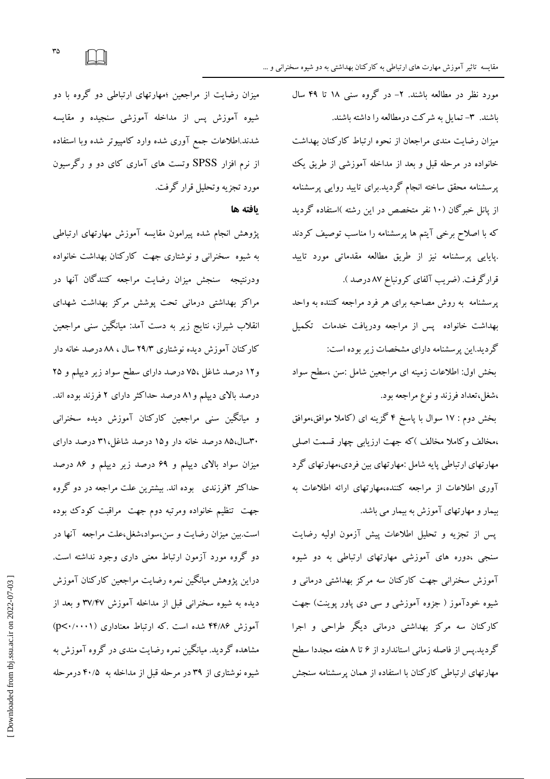مقایسه تاثیر آموزش مهارت های ارتباطی به کارکنان بهداشتی به دو شیوه سخنرانی و …

مورد نظر در مطالعه باشند. ۲- در گروه سنبی ۱۸ تا ۴۹ سال باشند. ٣- تمایل به شرکت در مطالعه را داشته باشند. میزان رضایت مندی مراجعان از نحوه ارتباط کارکنان بهداشت خانواده در مرحله قبل و بعد از مداخله آموزشی از طریق یک یرسشنامه محقق ساخته انجام گردید.برای تایید روایی پرسشنامه از پانل خبرگان (۱۰ نفر متخصص در این رشته )استفاده گردید که با اصلاح برخی آیتم ها پرسشنامه را مناسب توصیف کردند .پایایی پرسشنامه نیز از طریق مطالعه مقدماتی مورد تایید قرارگرفت. (ضريب آلفاي كرونباخ ٨٧ درصد ).

پرسشنامه به روش مصاحبه برای هر فرد مراجعه کننده به واحد بهداشت خانواده پس از مراجعه ودریافت خدمات تکمیل گردید.این پرسشنامه دارای مشخصات زیر بوده است: بخش اول: اطلاعات زمینه ای مراجعین شامل :سن ،سطح سواد

،شغل،تعداد فرزند و نوع مراجعه بود.

بخش دوم : ١٧ سوال با پاسخ ۴ گزینه ای (کاملا موافق،موافق ،مخالف وكاملا مخالف )كه جهت ارزيابي چهار قسمت اصلي مهارتهای ارتباطی پایه شامل :مهارتهای بین فردی،مهارتهای گرد آوری اطلاعات از مراجعه کننده،مهارتهای ارائه اطلاعات به بیمار و مهارتهای آموزش به بیمار می باشد.

پس از تجزیه و تحلیل اطلاعات پیش آزمون اولیه رضایت سنجی ،دوره های آموزشی مهارتهای ارتباطی به دو شیوه ۔<br>آموزش سخنرانی جهت کارکنان سه مرکز بهداشت<sub>ی</sub> درمان<sub>ی</sub> و شیوه خودآموز ( جزوه آموزشی و سی دی یاور یوینت) جهت کارکنان سه مرکز بهداشتی درمانی دیگر طراحی و اجرا گردید.پس از فاصله زمانی استاندارد از ۶ تا ۸ هفته مجددا سطح مهارتهای ارتباطی کارکنان با استفاده از همان پرسشنامه سنجش

میزان رضایت از مراجعین ؛مهارتهای ارتباطی دو گروه با دو شیوه آموزش پس از مداخله آموزشی سنجیده و مقایسه شدند.اطلاعات جمع آورى شده وارد كامپيوتر شده وبا استفاده از نرم افزار SPSS وتست های آماری کای دو و رگرسیون مورد تجزیه وتحلیل قرار گرفت.

#### ىافته ها

پژوهش انجام شده پیرامون مقایسه آموزش مهارتهای ارتباطی به شیوه سخنرانی و نوشتاری جهت کارکنان بهداشت خانواده ودرنتيجه \_سنجش ميزان رضايت مراجعه كنندگان آنها در مراکز بهداشتی درمانی تحت پوشش مرکز بهداشت شهدای انقلاب شیراز، نتایج زیر به دست آمد: میانگین سنی مراجعین کارکنان آموزش دیده نوشتاری ۲۹/۳ سال ، ۸۸ درصد خانه دار و۱۲ درصد شاغل ۷۵، درصد دارای سطح سواد زیر دیپلم و ۲۵ درصد بالای دیپلم و ۸۱ درصد حداکثر دارای ۲ فرزند بوده اند. و میانگین سنی مراجعین کارکنان آموزش دیده سخنرانی ۳۰سال،۸۵ درصد خانه دار و ۱۵ درصد شاغل،۳۱ درصد دارای میزان سواد بالای دیپلم و ۶۹ درصد زیر دیپلم و ۸۶ درصد حداکثر ۲فرزندی ً بوده اند. بیشترین علت مراجعه در دو گروه جهت تنظیم خانواده ومرتبه دوم جهت ًمراقبت کودک بوده است.بین میزان رضایت و سن،سواد،شغل،علت مراجعه آنها در دو گروه مورد آزمون ارتباط معنی داری وجود نداشته است. دراین پژوهش میانگین نمره رضایت مراجعین کارکنان آموزش دیده به شیوه سخنرانی قبل از مداخله آموزش ۳۷/۴۷ و بعد از آموزش ۴۴/۸۶ شده است .که ارتباط معناداری (p<۰/۰۰۰۱) مشاهده گردید. میانگین نمره رضایت مندی در گروه آموزش به شیوه نوشتاری از ۳۹ در مرحله قبل از مداخله به ۴۰/۵ درمرحله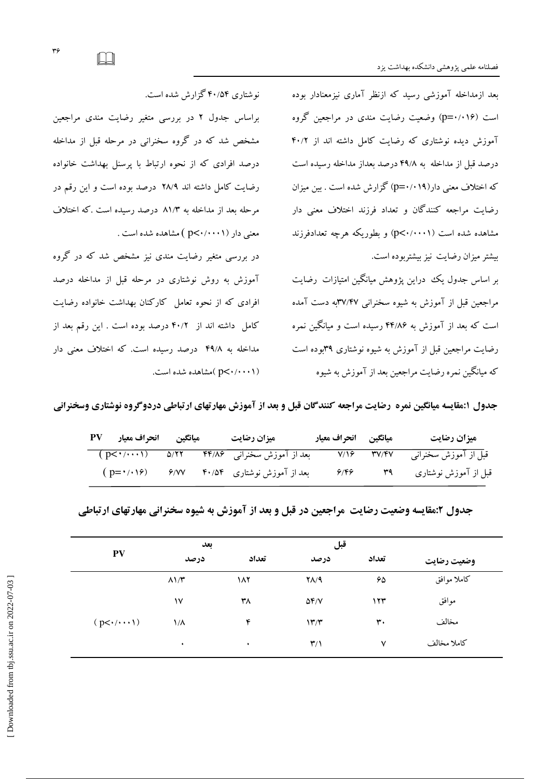بعد ازمداخله آموزشی رسید که ازنظر آماری نیزمعنادار بوده است (p=۰/۰۱۶) وضعیت رضایت مندی در مراجعین گروه آموزش دیده نوشتاری که رضایت کامل داشته اند از ۴۰/۲ درصد قبل از مداخله به ۴۹/۸ درصد بعداز مداخله رسیده است که اختلاف معنی دار(۱۹/۱۹) گزارش شده است . بین میزان رضایت مراجعه کنندگان و تعداد فرزند اختلاف معنی دار مشاهده شده است (p<۰/۰۰۰۱) و بطوریکه هرچه تعدادفرزند بیشتر میزان رضایت نیز بیشتربوده است.

بر اساس جدول یک دراین یژوهش میانگین امتیازات رضایت مراجعین قبل از آموزش به شیوه سخنرانی ۳۷/۴۷به دست آمده است که بعد از آموزش به ۴۴/۸۶ رسیده است و میانگین نمره رضایت مراجعین قبل از آموزش به شیوه نوشتاری ۳۹بوده است که میانگین نمره رضایت مراجعین بعد از آموزش به شیوه

نوشتاری ۴۰/۵۴ گزارش شده است.

براساس جدول ۲ در بررسی متغیر رضایت مندی مراجعین مشخص شد که در گروه سخنرانی در مرحله قبل از مداخله درصد افرادی که از نحوه ارتباط با پرسنل بهداشت خانواده رضایت کامل داشته اند ۲۸/۹ درصد بوده است و این رقم در مرحله بعد از مداخله به ۸۱/۳ درصد رسیده است .که اختلاف معنی دار (p<۰/۰۰۰۱ ) مشاهده شده است .

در بررسی متغیر رضایت مندی نیز مشخص شد که در گروه آموزش به روش نوشتاری در مرحله قبل از مداخله درصد افرادی که از نحوه تعامل کارکنان بهداشت خانواده رضایت كامل داشته اند از ۴۰/۲ درصد بوده است . این رقم بعد از مداخله به ۴۹/۸ درصد رسیده است. که اختلاف معنی دار (p<۰/۰۰۰۱) )مشاهده شده است.

جدول ۱:مقایسه میانگین نمره رضایت مراجعه کنندگان قبل و بعد از آموزش مهارتهای ارتباطی دردوگروه نوشتاری وسخنرانی

| Aيانگين انحراف معيار PV           |  | ميزان رضايت                                             | ميانگين انحراف معيار |                   | ميزان رضايت                                      |
|-----------------------------------|--|---------------------------------------------------------|----------------------|-------------------|--------------------------------------------------|
|                                   |  | ِ بعد از آموزش سخنران <sub>ی ۴۴/۸۶</sub> مـ (p<۰/۰۰۰۱ ) |                      |                   | قبل از آموزش سخنرانی        ۳۷/۴۷           7/۱۶ |
| $(p = \cdot / \cdot \cdot \cdot)$ |  | بعد از آموزش نوشتاری ۴۰/۵۴ هـ ۶/۷۷                      | 9/89                 | $r_{\mathcal{A}}$ | قبل از آموزش نوشتاری                             |

| جدول ۲:مقایسه وضعیت رضایت ًمراجعین در قبل و بعد از آموزش به شیوه سخنرانی مهارتهای ارتباطی |  |  |  |
|-------------------------------------------------------------------------------------------|--|--|--|
|                                                                                           |  |  |  |

| <b>PV</b>          | بعد                |       | قبل                     |              |             |
|--------------------|--------------------|-------|-------------------------|--------------|-------------|
|                    | درصد               | تعداد | درصد                    | تعداد        | وضعيت رضايت |
|                    | $\lambda$ $\gamma$ | ۱۸۲   | $Y\Lambda$ /۹           | ۶۵           | كاملا موافق |
|                    | ۱٧                 | ۳٨    | $\Delta f/V$            | ۱۲۳          | موافق       |
| $(p<\cdot/\cdots)$ | ۱/۸                | ۴     | $\mathcal{N}^{\prime}$  | ٣٠           | مخالف       |
|                    | ٠                  | ٠     | $\mathbf{r}/\mathbf{v}$ | $\checkmark$ | كاملا مخالف |

 $\Box$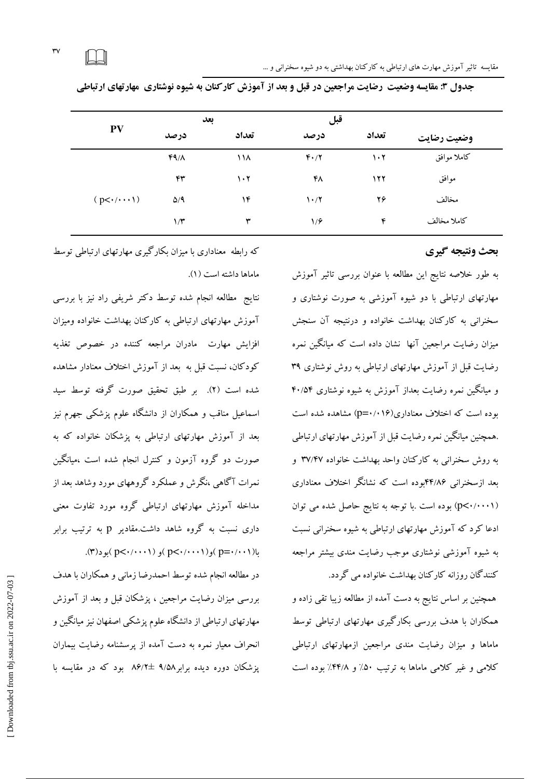|                             | بعد          |                                 | قبل                               |                                 |             |  |
|-----------------------------|--------------|---------------------------------|-----------------------------------|---------------------------------|-------------|--|
| PV                          | درصد         | تعداد                           | درصد                              | تعداد                           | وضعيت رضايت |  |
|                             | $FA/\Lambda$ | ۱۱۸                             | $F \cdot / Y$                     | $\mathcal{N} \cdot \mathcal{N}$ | كاملا موافق |  |
|                             | ۴۳           | $\mathcal{N} \cdot \mathcal{N}$ | ۴۸                                | ۱۲۲                             | موافق       |  |
| $(p<\cdot/\cdot\cdot\cdot)$ | $\Delta$ /9  | ۱۴                              | $\mathcal{N} \cdot / \mathcal{N}$ | ۲۶                              | مخالف       |  |
|                             | $1/\tau$     | ٣                               | 1/9                               | ۴                               | كاملا مخالف |  |

جدول ۳: مقایسه وضعیت ًرضایت مراجعین در قبل و بعد از آموزش کارکنان به شیوه نوشتاری ًمهارتهای ارتباطی

## بحث ونتيجه كيرى

به طور خلاصه نتايج اين مطالعه با عنوان بررسي تاثير آموزش مهارتهای ارتباطی با دو شیوه آموزشی به صورت نوشتاری و سخنرانی به کارکنان بهداشت خانواده و درنتبجه آن سنجش میزان رضایت مراجعین آنها ًنشان داده است که میانگین نمره رضایت قبل از آموزش مهارتهای ارتباطی به روش نوشتاری ۳۹ و مبانگین نمره رضایت بعداز آموزش به شبوه نوشتاری ۴۰/۵۴ بوده است که اختلاف معناداری(۱۶/۰۱۶) مشاهده شده است .همچنین میانگین نمره رضایت قبل از آموزش مهارتهای ارتباطی به روش سخنرانی به کارکنان واحد بهداشت خانواده ۳۷/۴۷ و بعد ازسخنرانی ۴۴/۸۶بوده است که نشانگر اختلاف معناداری (p<۰/۰۰۰۱) بوده است .با توجه به نتايج حاصل شده مي توان ادعا کرد که آموزش مهارتهای ارتباطی به شیوه سخنرانی نسبت به شیوه آموزشی نوشتاری موجب رضایت مندی بیشتر مراجعه کنندگان روزانه کارکنان بهداشت خانواده می گردد.

همچنین بر اساس نتایج به دست آمده از مطالعه زیبا تقی زاده و همکاران با هدف بررسی بکارگیری مهارتهای ارتباطی توسط ماماها و میزان رضایت مندی مراجعین ازمهارتهای ارتباطی کلامی و غیر کلامی ماماها به ترتیب ۵۰٪ و ۴۴/۸٪ بوده است

که رابطه ًمعناداری با میزان بکارگیری مهارتهای ارتباطی توسط ماماها داشته است (١).

نتايج مطالعه انجام شده توسط دكتر شريفي راد نيز با بررسي آموزش مهارتهای ارتباطی به کارکنان بهداشت خانواده ومبزان افزایش مهارت مادران مراجعه کننده در خصوص تغذیه کودکان، نسبت قبل به بعد از آموزش اختلاف معنادار مشاهده شده است (٢). بر طبق تحقیق صورت گرفته توسط سبد اسماعیل مناقب و همکاران از دانشگاه علوم پزشکی جهرم نیز بعد از آموزش مهارتهای ارتباطی به پزشکان خانواده که به صورت دو گروه آزمون و کنترل انجام شده است ،میانگین نمرات آگاهی ،نگرش و عملکرد گروههای مورد وشاهد بعد از مداخله آموزش مهارتهای ارتباطی گروه مورد تفاوت معنی داری نسبت به گروه شاهد داشت.مقادیر p به ترتیب برابر  $(p<\cdot/\cdot\cdot\cdot)$ و ( p $\leq\cdot/\cdot\cdot\cdot\cdot$ ) و ( p $\leq\cdot/\cdot\cdot\cdot$ ) ( p

در مطالعه انجام شده توسط احمدرضا زمانی و همکاران با هدف بررسی میزان رضایت مراجعین ، یزشکان قبل و بعد از آموزش مهارتهای ارتباطی از دانشگاه علوم پزشکی اصفهان نیز میانگین و انحراف معیار نمره به دست آمده از پرسشنامه رضایت بیماران یز شکان دوره دیده برابر ۹/۵۸ + ۸۶/۲ بود که در مقایسه با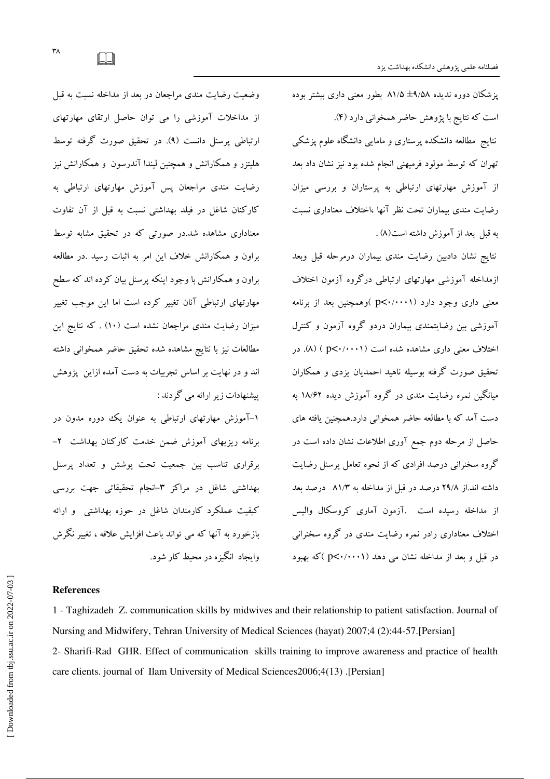یز شکان دوره ندیده ۹/۵۸± ۸۱/۵ بطور معنی داری بیشتر بوده است که نتایج با پژوهش حاضر همخوانی دارد (۴). نتایج مطالعه دانشکده پرستاری و مامایی دانشگاه علوم پزشکی تهران که توسط مولود فرمیهنی انجام شده بود نیز نشان داد بعد از آموزش مهارتهای ارتباطی به پرستاران و بررسی میزان رضايت مندى بيماران تحت نظر آنها ،اختلاف معنادارى نسبت به قبل بعد از آموزش داشته است(۸) .

نتايج نشان دادبين رضايت مندى بيماران درمرحله قبل وبعد ازمداخله آموزشي مهارتهاى ارتباطي درگروه آزمون اختلاف معنی داری وجود دارد (p<۰/۰۰۰۱) )وهمچنین بعد از برنامه آموزشی بین رضایتمندی بیماران دردو گروه آزمون و کنترل اختلاف معنی داری مشاهده شده است (p<۰/۰۰۰۱ ) (۸). در تحقیق صورت گرفته بوسیله ناهید احمدیان یزدی و همکاران میانگین نمره رضایت مندی در گروه آموزش دیده ۱۸/۶۲ به دست آمد که با مطالعه حاضر همخوانی دارد.همچنین یافته های حاصل از مرحله دوم جمع آوری اطلاعات نشان داده است در گروه سخنرانی درصد افرادی که از نحوه تعامل پرسنل رضایت داشته اند.از ۲۹/۸ درصد در قبل از مداخله به ۸۱/۳ درصد بعد از مداخله رسیده است .آزمون آماری کروسکال والیس اختلاف معناداری رادر نمره رضایت مندی در گروه سخنرانی در قبل و بعد از مداخله نشان می دهد (p<۰/۰۰۰۱ )که بهبود

وضعیت رضایت مندی مراجعان در بعد از مداخله نسبت به قبل از مداخلات آموزشی را می توان حاصل ارتقای مهارتهای ارتباطی پرسنل دانست (۹). در تحقیق صورت گرفته توسط هلیتزر و همکارانش و همچنین لیندا آندرسون و همکارانش نیز رضایت مندی مراجعان پس آموزش مهارتهای ارتباطی به کارکنان شاغل در فیلد بهداشتی نسبت به قبل از آن تفاوت معناداری مشاهده شد.در صورتی که در تحقیق مشابه توسط براون و همکارانش خلاف این امر به اثبات رسید .در مطالعه براون و همکارانش با وجود اینکه پرسنل بیان کرده اند که سطح مهارتهای ارتباطی آنان تغییر کرده است اما این موجب تغییر میزان رضایت مندی مراجعان نشده است (۱۰) . که نتایج این مطالعات نیز با نتایج مشاهده شده تحقیق حاضر همخوانی داشته اند و در نهایت بر اساس تجربیات به دست آمده ازاین پژوهش پیشنهادات زیر ارائه می گردند :

۱-آموزش مهارتهای ارتباطی به عنوان یک دوره مدون در برنامه ریزیهای آموزش ضمن خدمت کارکنان بهداشت ۲-برقراری تناسب بین جمعیت تحت پوشش و تعداد پرسنل بهداشتی شاغل در مراکز ۳-انجام تحقیقاتی جهت بررسی کیفیت عملکرد کارمندان شاغل در حوزه بهداشتی و ارائه بازخورد به آنها که می تواند باعث افزایش علاقه ، تغییر نگرش وابجاد انگیزه در محبط کار شود.

#### **References**

1 - Taghizadeh Z. communication skills by midwives and their relationship to patient satisfaction. Journal of Nursing and Midwifery, Tehran University of Medical Sciences (hayat) 2007;4 (2):44-57. [Persian] 2- Sharifi-Rad GHR. Effect of communication skills training to improve awareness and practice of health care clients. journal of Ilam University of Medical Sciences2006;4(13). [Persian]

 $\Box$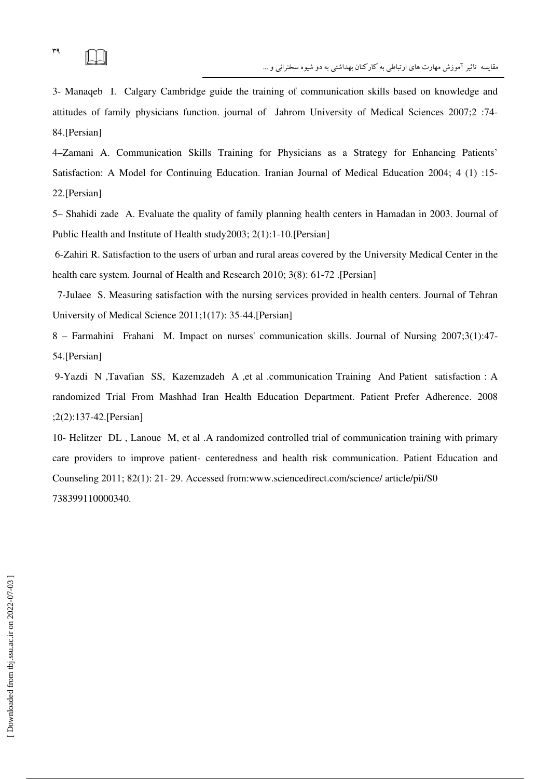3- Manaqeb I. Calgary Cambridge guide the training of communication skills based on knowledge and attitudes of family physicians function. journal of Jahrom University of Medical Sciences 2007;2 :74- 84.[Persian]

4–Zamani A. Communication Skills Training for Physicians as a Strategy for Enhancing Patients' Satisfaction: A Model for Continuing Education. Iranian Journal of Medical Education 2004; 4 (1) :15- 22.[Persian]

5– Shahidi zade A. Evaluate the quality of family planning health centers in Hamadan in 2003. Journal of Public Health and Institute of Health study2003; 2(1):1-10.[Persian]

 6-Zahiri R. Satisfaction to the users of urban and rural areas covered by the University Medical Center in the health care system. Journal of Health and Research 2010; 3(8): 61-72 .[Persian]

 7-Julaee S. Measuring satisfaction with the nursing services provided in health centers. Journal of Tehran University of Medical Science 2011;1(17): 35-44.[Persian]

8 – Farmahini Frahani M. Impact on nurses' communication skills. Journal of Nursing 2007;3(1):47- 54.[Persian]

 9-Yazdi N ,Tavafian SS, Kazemzadeh A ,et al .communication Training And Patient satisfaction : A randomized Trial From Mashhad Iran Health Education Department. Patient Prefer Adherence. 2008 ;2(2):137-42.[Persian]

10- Helitzer DL , Lanoue M, et al .A randomized controlled trial of communication training with primary care providers to improve patient- centeredness and health risk communication. Patient Education and Counseling 2011; 82(1): 21- 29. Accessed from:www.sciencedirect.com/science/ article/pii/S0 738399110000340.